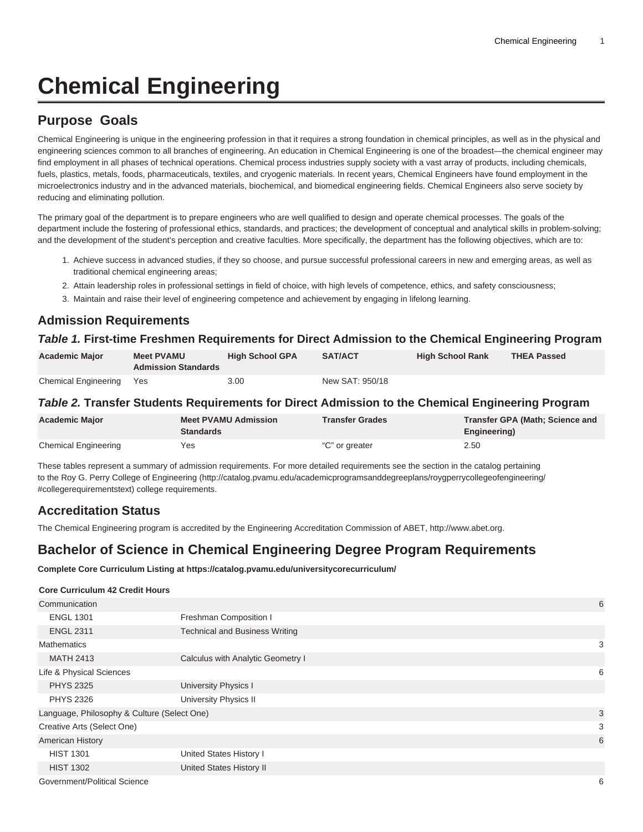# **Chemical Engineering**

## **Purpose Goals**

Chemical Engineering is unique in the engineering profession in that it requires a strong foundation in chemical principles, as well as in the physical and engineering sciences common to all branches of engineering. An education in Chemical Engineering is one of the broadest—the chemical engineer may find employment in all phases of technical operations. Chemical process industries supply society with a vast array of products, including chemicals, fuels, plastics, metals, foods, pharmaceuticals, textiles, and cryogenic materials. In recent years, Chemical Engineers have found employment in the microelectronics industry and in the advanced materials, biochemical, and biomedical engineering fields. Chemical Engineers also serve society by reducing and eliminating pollution.

The primary goal of the department is to prepare engineers who are well qualified to design and operate chemical processes. The goals of the department include the fostering of professional ethics, standards, and practices; the development of conceptual and analytical skills in problem-solving; and the development of the student's perception and creative faculties. More specifically, the department has the following objectives, which are to:

- 1. Achieve success in advanced studies, if they so choose, and pursue successful professional careers in new and emerging areas, as well as traditional chemical engineering areas;
- 2. Attain leadership roles in professional settings in field of choice, with high levels of competence, ethics, and safety consciousness;
- 3. Maintain and raise their level of engineering competence and achievement by engaging in lifelong learning.

### **Admission Requirements**

### **Table 1. First-time Freshmen Requirements for Direct Admission to the Chemical Engineering Program**

| <b>Academic Major</b>    | <b>Meet PVAMU</b><br><b>Admission Standards</b> | <b>High School GPA</b> | SAT/ACT         | <b>High School Rank</b> | <b>THEA Passed</b> |
|--------------------------|-------------------------------------------------|------------------------|-----------------|-------------------------|--------------------|
| Chemical Engineering Yes |                                                 | 3.00                   | New SAT: 950/18 |                         |                    |

### **Table 2. Transfer Students Requirements for Direct Admission to the Chemical Engineering Program**

| <b>Academic Major</b>       | <b>Meet PVAMU Admission</b><br><b>Standards</b> | <b>Transfer Grades</b> | Transfer GPA (Math; Science and<br>Engineering) |
|-----------------------------|-------------------------------------------------|------------------------|-------------------------------------------------|
| <b>Chemical Engineering</b> | Yes                                             | "C" or greater         | 2.50                                            |

These tables represent a summary of admission requirements. For more detailed requirements see the section in the catalog pertaining to the [Roy G. Perry College of Engineering](http://catalog.pvamu.edu/academicprogramsanddegreeplans/roygperrycollegeofengineering/#collegerequirementstext) ([http://catalog.pvamu.edu/academicprogramsanddegreeplans/roygperrycollegeofengineering/](http://catalog.pvamu.edu/academicprogramsanddegreeplans/roygperrycollegeofengineering/#collegerequirementstext) [#collegerequirementstext](http://catalog.pvamu.edu/academicprogramsanddegreeplans/roygperrycollegeofengineering/#collegerequirementstext)) college requirements.

### **Accreditation Status**

The Chemical Engineering program is accredited by the Engineering Accreditation Commission of ABET,<http://www.abet.org>.

### **Bachelor of Science in Chemical Engineering Degree Program Requirements**

**Complete Core Curriculum Listing at https://catalog.pvamu.edu/universitycorecurriculum/**

#### **Core Curriculum 42 Credit Hours**

| Communication                               |                                       | 6 |
|---------------------------------------------|---------------------------------------|---|
| <b>ENGL 1301</b>                            | Freshman Composition I                |   |
| <b>ENGL 2311</b>                            | <b>Technical and Business Writing</b> |   |
| <b>Mathematics</b>                          |                                       | 3 |
| <b>MATH 2413</b>                            | Calculus with Analytic Geometry I     |   |
| Life & Physical Sciences                    |                                       | 6 |
| <b>PHYS 2325</b>                            | University Physics I                  |   |
| <b>PHYS 2326</b>                            | <b>University Physics II</b>          |   |
| Language, Philosophy & Culture (Select One) |                                       | 3 |
| Creative Arts (Select One)                  |                                       | 3 |
| <b>American History</b>                     |                                       | 6 |
| <b>HIST 1301</b>                            | United States History I               |   |
| <b>HIST 1302</b>                            | United States History II              |   |
| Government/Political Science                |                                       | 6 |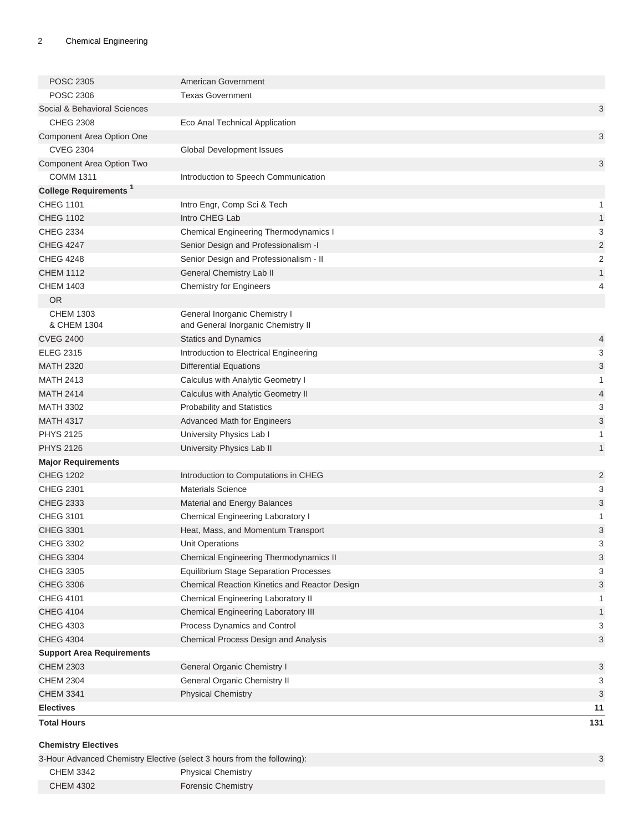| <b>POSC 2305</b>                         | American Government                                                 |                |
|------------------------------------------|---------------------------------------------------------------------|----------------|
| <b>POSC 2306</b>                         | <b>Texas Government</b>                                             |                |
| Social & Behavioral Sciences             |                                                                     | 3              |
| <b>CHEG 2308</b>                         | Eco Anal Technical Application                                      |                |
| Component Area Option One                |                                                                     | 3              |
| <b>CVEG 2304</b>                         | Global Development Issues                                           |                |
| Component Area Option Two                |                                                                     | 3              |
| <b>COMM 1311</b>                         | Introduction to Speech Communication                                |                |
| <b>College Requirements</b> <sup>1</sup> |                                                                     |                |
| <b>CHEG 1101</b>                         | Intro Engr, Comp Sci & Tech                                         | $\mathbf{1}$   |
| <b>CHEG 1102</b>                         | Intro CHEG Lab                                                      | $\mathbf{1}$   |
| <b>CHEG 2334</b>                         | <b>Chemical Engineering Thermodynamics I</b>                        | 3              |
| <b>CHEG 4247</b>                         | Senior Design and Professionalism -I                                | $\overline{c}$ |
| <b>CHEG 4248</b>                         | Senior Design and Professionalism - II                              | $\overline{c}$ |
| <b>CHEM 1112</b>                         | General Chemistry Lab II                                            | $\mathbf{1}$   |
| <b>CHEM 1403</b>                         | <b>Chemistry for Engineers</b>                                      | 4              |
| OR.                                      |                                                                     |                |
| <b>CHEM 1303</b><br>& CHEM 1304          | General Inorganic Chemistry I<br>and General Inorganic Chemistry II |                |
| <b>CVEG 2400</b>                         | <b>Statics and Dynamics</b>                                         | 4              |
| <b>ELEG 2315</b>                         | Introduction to Electrical Engineering                              | 3              |
| <b>MATH 2320</b>                         | <b>Differential Equations</b>                                       | 3              |
| <b>MATH 2413</b>                         | Calculus with Analytic Geometry I                                   | 1              |
| <b>MATH 2414</b>                         | Calculus with Analytic Geometry II                                  | $\overline{4}$ |
| <b>MATH 3302</b>                         | <b>Probability and Statistics</b>                                   | 3              |
| <b>MATH 4317</b>                         | <b>Advanced Math for Engineers</b>                                  | 3              |
| <b>PHYS 2125</b>                         | University Physics Lab I                                            | 1              |
| <b>PHYS 2126</b>                         | University Physics Lab II                                           | $\mathbf{1}$   |
| <b>Major Requirements</b>                |                                                                     |                |
| <b>CHEG 1202</b>                         | Introduction to Computations in CHEG                                | 2              |
| <b>CHEG 2301</b>                         | <b>Materials Science</b>                                            | 3              |
| <b>CHEG 2333</b>                         | Material and Energy Balances                                        | 3              |
| CHEG 3101                                | Chemical Engineering Laboratory I                                   | 1              |
| <b>CHEG 3301</b>                         | Heat, Mass, and Momentum Transport                                  | 3              |
| CHEG 3302                                | Unit Operations                                                     | 3              |
| <b>CHEG 3304</b>                         | <b>Chemical Engineering Thermodynamics II</b>                       | 3              |
| <b>CHEG 3305</b>                         | <b>Equilibrium Stage Separation Processes</b>                       | 3              |
| <b>CHEG 3306</b>                         | Chemical Reaction Kinetics and Reactor Design                       | 3              |
| <b>CHEG 4101</b>                         | Chemical Engineering Laboratory II                                  | 1              |
| <b>CHEG 4104</b>                         | Chemical Engineering Laboratory III                                 | $\mathbf{1}$   |
| <b>CHEG 4303</b>                         | Process Dynamics and Control                                        | 3              |
| <b>CHEG 4304</b>                         | Chemical Process Design and Analysis                                | 3              |
| <b>Support Area Requirements</b>         |                                                                     |                |
| <b>CHEM 2303</b>                         | General Organic Chemistry I                                         | 3              |
| <b>CHEM 2304</b>                         | General Organic Chemistry II                                        | 3              |
| <b>CHEM 3341</b>                         | <b>Physical Chemistry</b>                                           | 3              |
| <b>Electives</b>                         |                                                                     | 11             |
| <b>Total Hours</b>                       |                                                                     | 131            |
| <b>Chemistry Electives</b>               |                                                                     |                |

| <b>CHEM 3342</b><br><b>Physical Chemistry</b> |  |
|-----------------------------------------------|--|
|                                               |  |
| <b>CHEM 4302</b><br><b>Forensic Chemistry</b> |  |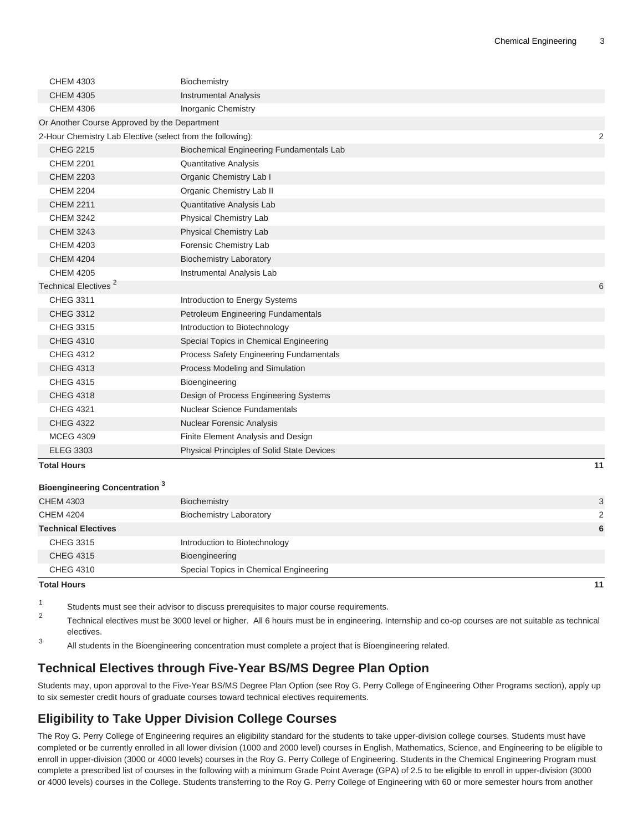| <b>CHEM 4303</b>                                           | Biochemistry                                    |                |
|------------------------------------------------------------|-------------------------------------------------|----------------|
| <b>CHEM 4305</b>                                           | Instrumental Analysis                           |                |
| <b>CHEM 4306</b>                                           | <b>Inorganic Chemistry</b>                      |                |
| Or Another Course Approved by the Department               |                                                 |                |
| 2-Hour Chemistry Lab Elective (select from the following): |                                                 | $\overline{2}$ |
| <b>CHEG 2215</b>                                           | <b>Biochemical Engineering Fundamentals Lab</b> |                |
| <b>CHEM 2201</b>                                           | <b>Quantitative Analysis</b>                    |                |
| <b>CHEM 2203</b>                                           | Organic Chemistry Lab I                         |                |
| <b>CHEM 2204</b>                                           | Organic Chemistry Lab II                        |                |
| <b>CHEM 2211</b>                                           | Quantitative Analysis Lab                       |                |
| <b>CHEM 3242</b>                                           | Physical Chemistry Lab                          |                |
| <b>CHEM 3243</b>                                           | <b>Physical Chemistry Lab</b>                   |                |
| <b>CHEM 4203</b>                                           | Forensic Chemistry Lab                          |                |
| <b>CHEM 4204</b>                                           | <b>Biochemistry Laboratory</b>                  |                |
| <b>CHEM 4205</b>                                           | Instrumental Analysis Lab                       |                |
| Technical Electives <sup>2</sup>                           |                                                 | 6              |
| <b>CHEG 3311</b>                                           | Introduction to Energy Systems                  |                |
| <b>CHEG 3312</b>                                           | Petroleum Engineering Fundamentals              |                |
| <b>CHEG 3315</b>                                           | Introduction to Biotechnology                   |                |
| <b>CHEG 4310</b>                                           | Special Topics in Chemical Engineering          |                |
| <b>CHEG 4312</b>                                           | Process Safety Engineering Fundamentals         |                |
| <b>CHEG 4313</b>                                           | Process Modeling and Simulation                 |                |
| <b>CHEG 4315</b>                                           | Bioengineering                                  |                |
| <b>CHEG 4318</b>                                           | Design of Process Engineering Systems           |                |
| <b>CHEG 4321</b>                                           | <b>Nuclear Science Fundamentals</b>             |                |
| <b>CHEG 4322</b>                                           | Nuclear Forensic Analysis                       |                |
| <b>MCEG 4309</b>                                           | Finite Element Analysis and Design              |                |
| <b>ELEG 3303</b>                                           | Physical Principles of Solid State Devices      |                |
| <b>Total Hours</b>                                         |                                                 | 11             |
| <b>Bioengineering Concentration</b> <sup>3</sup>           |                                                 |                |
| <b>CHEM 4303</b>                                           | Biochemistry                                    | 3              |

| <b>Total Hours</b>         |                                        | 11             |
|----------------------------|----------------------------------------|----------------|
| <b>CHEG 4310</b>           | Special Topics in Chemical Engineering |                |
| <b>CHEG 4315</b>           | Bioengineering                         |                |
| <b>CHEG 3315</b>           | Introduction to Biotechnology          |                |
| <b>Technical Electives</b> |                                        | 6              |
| <b>CHEM 4204</b>           | <b>Biochemistry Laboratory</b>         | $\overline{2}$ |
| <b>CHEM 4303</b>           | Biochemistry                           | 3              |

- 1 Students must see their advisor to discuss prerequisites to major course requirements.
- 2 Technical electives must be 3000 level or higher. All 6 hours must be in engineering. Internship and co-op courses are not suitable as technical electives.
- 3 All students in the Bioengineering concentration must complete a project that is Bioengineering related.

### **Technical Electives through Five-Year BS/MS Degree Plan Option**

Students may, upon approval to the Five-Year BS/MS Degree Plan Option (see Roy G. Perry College of Engineering Other Programs section), apply up to six semester credit hours of graduate courses toward technical electives requirements.

## **Eligibility to Take Upper Division College Courses**

The Roy G. Perry College of Engineering requires an eligibility standard for the students to take upper-division college courses. Students must have completed or be currently enrolled in all lower division (1000 and 2000 level) courses in English, Mathematics, Science, and Engineering to be eligible to enroll in upper-division (3000 or 4000 levels) courses in the Roy G. Perry College of Engineering. Students in the Chemical Engineering Program must complete a prescribed list of courses in the following with a minimum Grade Point Average (GPA) of 2.5 to be eligible to enroll in upper-division (3000 or 4000 levels) courses in the College. Students transferring to the Roy G. Perry College of Engineering with 60 or more semester hours from another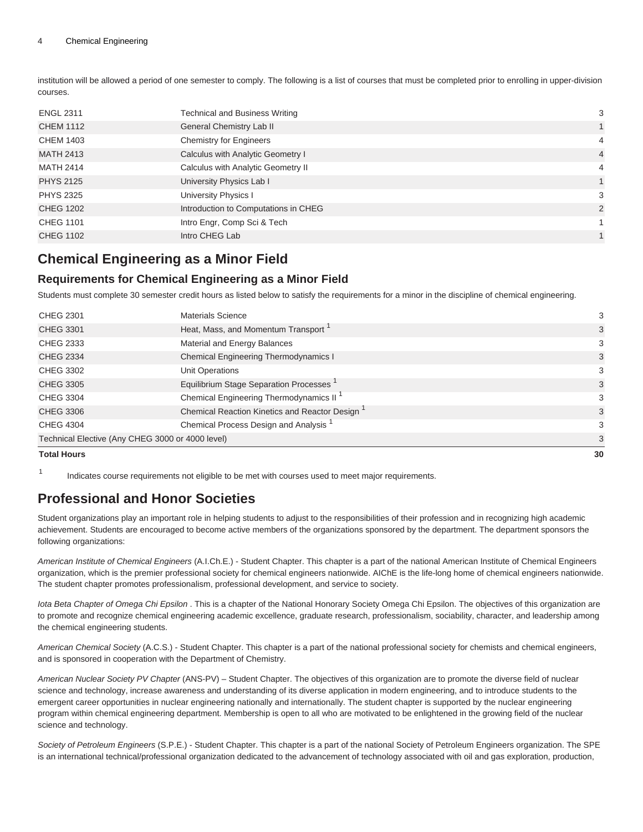#### 4 Chemical Engineering

institution will be allowed a period of one semester to comply. The following is a list of courses that must be completed prior to enrolling in upper-division courses.

| <b>ENGL 2311</b> | <b>Technical and Business Writing</b> | 3              |
|------------------|---------------------------------------|----------------|
| <b>CHEM 1112</b> | General Chemistry Lab II              | 1              |
| <b>CHEM 1403</b> | <b>Chemistry for Engineers</b>        | 4              |
| <b>MATH 2413</b> | Calculus with Analytic Geometry I     | $\overline{4}$ |
| MATH 2414        | Calculus with Analytic Geometry II    | 4              |
| <b>PHYS 2125</b> | University Physics Lab I              | 1              |
| <b>PHYS 2325</b> | University Physics I                  | 3              |
| <b>CHEG 1202</b> | Introduction to Computations in CHEG  | 2              |
| <b>CHEG 1101</b> | Intro Engr, Comp Sci & Tech           |                |
| <b>CHEG 1102</b> | Intro CHEG Lab                        |                |

### **Chemical Engineering as a Minor Field**

### **Requirements for Chemical Engineering as a Minor Field**

Students must complete 30 semester credit hours as listed below to satisfy the requirements for a minor in the discipline of chemical engineering.

| <b>Total Hours</b> |                                                     | 30 |
|--------------------|-----------------------------------------------------|----|
|                    | Technical Elective (Any CHEG 3000 or 4000 level)    | 3  |
| <b>CHEG 4304</b>   | Chemical Process Design and Analysis                | 3  |
| <b>CHEG 3306</b>   | Chemical Reaction Kinetics and Reactor Design       | 3  |
| <b>CHEG 3304</b>   | Chemical Engineering Thermodynamics II <sup>1</sup> | 3  |
| <b>CHEG 3305</b>   | Equilibrium Stage Separation Processes              | 3  |
| <b>CHEG 3302</b>   | <b>Unit Operations</b>                              | 3  |
| <b>CHEG 2334</b>   | Chemical Engineering Thermodynamics I               | 3  |
| <b>CHEG 2333</b>   | Material and Energy Balances                        | 3  |
| <b>CHEG 3301</b>   | Heat, Mass, and Momentum Transport <sup>1</sup>     | 3  |
| <b>CHEG 2301</b>   | <b>Materials Science</b>                            | 3  |
|                    |                                                     |    |

1 Indicates course requirements not eligible to be met with courses used to meet major requirements.

### **Professional and Honor Societies**

Student organizations play an important role in helping students to adjust to the responsibilities of their profession and in recognizing high academic achievement. Students are encouraged to become active members of the organizations sponsored by the department. The department sponsors the following organizations:

American Institute of Chemical Engineers (A.I.Ch.E.) - Student Chapter. This chapter is a part of the national American Institute of Chemical Engineers organization, which is the premier professional society for chemical engineers nationwide. AIChE is the life-long home of chemical engineers nationwide. The student chapter promotes professionalism, professional development, and service to society.

Iota Beta Chapter of Omega Chi Epsilon. This is a chapter of the National Honorary Society Omega Chi Epsilon. The objectives of this organization are to promote and recognize chemical engineering academic excellence, graduate research, professionalism, sociability, character, and leadership among the chemical engineering students.

American Chemical Society (A.C.S.) - Student Chapter. This chapter is a part of the national professional society for chemists and chemical engineers, and is sponsored in cooperation with the Department of Chemistry.

American Nuclear Society PV Chapter (ANS-PV) – Student Chapter. The objectives of this organization are to promote the diverse field of nuclear science and technology, increase awareness and understanding of its diverse application in modern engineering, and to introduce students to the emergent career opportunities in nuclear engineering nationally and internationally. The student chapter is supported by the nuclear engineering program within chemical engineering department. Membership is open to all who are motivated to be enlightened in the growing field of the nuclear science and technology.

Society of Petroleum Engineers (S.P.E.) - Student Chapter. This chapter is a part of the national Society of Petroleum Engineers organization. The SPE is an international technical/professional organization dedicated to the advancement of technology associated with oil and gas exploration, production,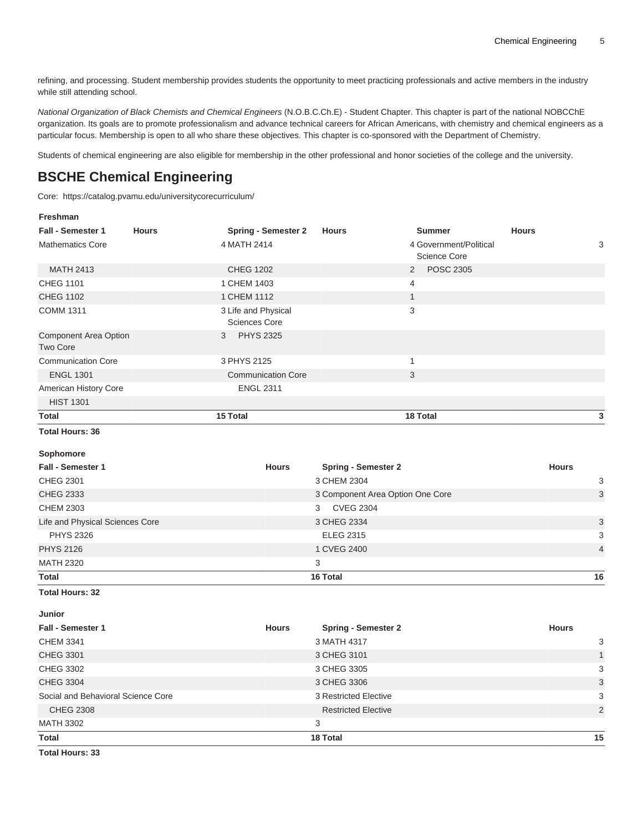refining, and processing. Student membership provides students the opportunity to meet practicing professionals and active members in the industry while still attending school.

National Organization of Black Chemists and Chemical Engineers (N.O.B.C.Ch.E) - Student Chapter. This chapter is part of the national NOBCChE organization. Its goals are to promote professionalism and advance technical careers for African Americans, with chemistry and chemical engineers as a particular focus. Membership is open to all who share these objectives. This chapter is co-sponsored with the Department of Chemistry.

Students of chemical engineering are also eligible for membership in the other professional and honor societies of the college and the university.

## **BSCHE Chemical Engineering**

Core:<https://catalog.pvamu.edu/universitycorecurriculum/>

| Freshman                                 |              |                                             |                                  |                                        |              |                |
|------------------------------------------|--------------|---------------------------------------------|----------------------------------|----------------------------------------|--------------|----------------|
| <b>Fall - Semester 1</b>                 | <b>Hours</b> | <b>Spring - Semester 2</b>                  | <b>Hours</b>                     | <b>Summer</b>                          | <b>Hours</b> |                |
| <b>Mathematics Core</b>                  |              | 4 MATH 2414                                 |                                  | 4 Government/Political<br>Science Core |              | 3              |
| <b>MATH 2413</b>                         |              | <b>CHEG 1202</b>                            |                                  | <b>POSC 2305</b><br>2                  |              |                |
| <b>CHEG 1101</b>                         |              | 1 CHEM 1403                                 |                                  | $\overline{4}$                         |              |                |
| <b>CHEG 1102</b>                         |              | 1 CHEM 1112                                 |                                  | $\mathbf{1}$                           |              |                |
| <b>COMM 1311</b>                         |              | 3 Life and Physical<br><b>Sciences Core</b> |                                  | 3                                      |              |                |
| Component Area Option<br><b>Two Core</b> |              | <b>PHYS 2325</b><br>3                       |                                  |                                        |              |                |
| <b>Communication Core</b>                |              | 3 PHYS 2125                                 |                                  | $\mathbf{1}$                           |              |                |
| <b>ENGL 1301</b>                         |              | <b>Communication Core</b>                   |                                  | 3                                      |              |                |
| American History Core                    |              | <b>ENGL 2311</b>                            |                                  |                                        |              |                |
| <b>HIST 1301</b>                         |              |                                             |                                  |                                        |              |                |
| <b>Total</b>                             |              | 15 Total                                    |                                  | 18 Total                               |              | 3              |
| <b>Total Hours: 36</b>                   |              |                                             |                                  |                                        |              |                |
| Sophomore                                |              |                                             |                                  |                                        |              |                |
| <b>Fall - Semester 1</b>                 |              | <b>Hours</b>                                | <b>Spring - Semester 2</b>       |                                        | <b>Hours</b> |                |
| <b>CHEG 2301</b>                         |              |                                             | 3 CHEM 2304                      |                                        |              | 3              |
| <b>CHEG 2333</b>                         |              |                                             | 3 Component Area Option One Core |                                        |              | 3              |
| <b>CHEM 2303</b>                         |              |                                             | <b>CVEG 2304</b><br>3            |                                        |              |                |
| Life and Physical Sciences Core          |              |                                             | 3 CHEG 2334                      |                                        |              | 3              |
| <b>PHYS 2326</b>                         |              |                                             | <b>ELEG 2315</b>                 |                                        |              | 3              |
| <b>PHYS 2126</b>                         |              |                                             | 1 CVEG 2400                      |                                        |              | $\overline{4}$ |
| <b>MATH 2320</b>                         |              |                                             | 3                                |                                        |              |                |
| <b>Total</b>                             |              |                                             | 16 Total                         |                                        |              | 16             |
| <b>Total Hours: 32</b>                   |              |                                             |                                  |                                        |              |                |
| Junior                                   |              |                                             |                                  |                                        |              |                |
| Fall - Semester 1                        |              | <b>Hours</b>                                | <b>Spring - Semester 2</b>       |                                        | <b>Hours</b> |                |
| <b>CHEM 3341</b>                         |              |                                             | 3 MATH 4317                      |                                        |              | 3              |
| <b>CHEG 3301</b>                         |              |                                             | 3 CHEG 3101                      |                                        |              | $\mathbf{1}$   |
| <b>CHEG 3302</b>                         |              |                                             | 3 CHEG 3305                      |                                        |              | 3              |
| <b>CHEG 3304</b>                         |              |                                             | 3 CHEG 3306                      |                                        |              | 3              |
| Social and Behavioral Science Core       |              |                                             | 3 Restricted Elective            |                                        |              | 3              |
| <b>CHEG 2308</b>                         |              |                                             | <b>Restricted Elective</b>       |                                        |              | $\overline{2}$ |
| <b>MATH 3302</b>                         |              |                                             | 3                                |                                        |              |                |
| <b>Total</b>                             |              |                                             | 18 Total                         |                                        |              | 15             |
| <b>Total Hours: 33</b>                   |              |                                             |                                  |                                        |              |                |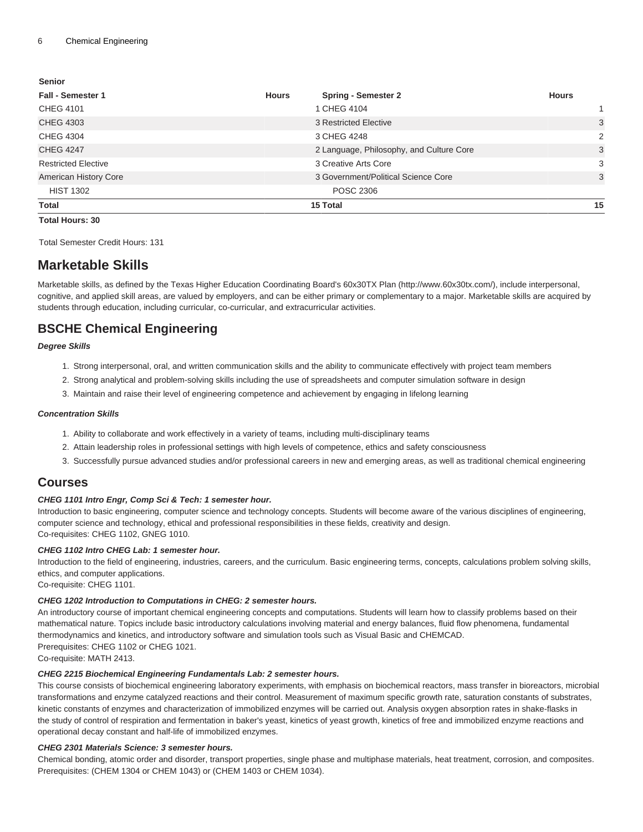#### **Senior**

| <b>Fall - Semester 1</b>   | <b>Hours</b> | <b>Spring - Semester 2</b>               | <b>Hours</b> |
|----------------------------|--------------|------------------------------------------|--------------|
| <b>CHEG 4101</b>           |              | 1 CHEG 4104                              |              |
| <b>CHEG 4303</b>           |              | 3 Restricted Elective                    | 3            |
| <b>CHEG 4304</b>           |              | 3 CHEG 4248                              | 2            |
| <b>CHEG 4247</b>           |              | 2 Language, Philosophy, and Culture Core | 3            |
| <b>Restricted Elective</b> |              | 3 Creative Arts Core                     | 3            |
| American History Core      |              | 3 Government/Political Science Core      | 3            |
| <b>HIST 1302</b>           |              | <b>POSC 2306</b>                         |              |
| Total                      |              | 15 Total                                 | 15           |

#### **Total Hours: 30**

Total Semester Credit Hours: 131

### **Marketable Skills**

Marketable skills, as defined by the [Texas Higher Education Coordinating Board's 60x30TX Plan](http://www.60x30tx.com/) [\(http://www.60x30tx.com/](http://www.60x30tx.com/)), include interpersonal, cognitive, and applied skill areas, are valued by employers, and can be either primary or complementary to a major. Marketable skills are acquired by students through education, including curricular, co-curricular, and extracurricular activities.

### **BSCHE Chemical Engineering**

#### **Degree Skills**

- 1. Strong interpersonal, oral, and written communication skills and the ability to communicate effectively with project team members
- 2. Strong analytical and problem-solving skills including the use of spreadsheets and computer simulation software in design
- 3. Maintain and raise their level of engineering competence and achievement by engaging in lifelong learning

#### **Concentration Skills**

- 1. Ability to collaborate and work effectively in a variety of teams, including multi-disciplinary teams
- 2. Attain leadership roles in professional settings with high levels of competence, ethics and safety consciousness
- 3. Successfully pursue advanced studies and/or professional careers in new and emerging areas, as well as traditional chemical engineering

#### **Courses**

#### **CHEG 1101 Intro Engr, Comp Sci & Tech: 1 semester hour.**

Introduction to basic engineering, computer science and technology concepts. Students will become aware of the various disciplines of engineering, computer science and technology, ethical and professional responsibilities in these fields, creativity and design. Co-requisites: [CHEG 1102,](/search/?P=CHEG%201102) [GNEG 1010.](/search/?P=GNEG%201010)

#### **CHEG 1102 Intro CHEG Lab: 1 semester hour.**

Introduction to the field of engineering, industries, careers, and the curriculum. Basic engineering terms, concepts, calculations problem solving skills, ethics, and computer applications.

Co-requisite: [CHEG 1101.](/search/?P=CHEG%201101)

#### **CHEG 1202 Introduction to Computations in CHEG: 2 semester hours.**

An introductory course of important chemical engineering concepts and computations. Students will learn how to classify problems based on their mathematical nature. Topics include basic introductory calculations involving material and energy balances, fluid flow phenomena, fundamental thermodynamics and kinetics, and introductory software and simulation tools such as Visual Basic and CHEMCAD. Prerequisites: [CHEG 1102](/search/?P=CHEG%201102) or CHEG 1021.

Co-requisite: [MATH 2413](/search/?P=MATH%202413).

#### **CHEG 2215 Biochemical Engineering Fundamentals Lab: 2 semester hours.**

This course consists of biochemical engineering laboratory experiments, with emphasis on biochemical reactors, mass transfer in bioreactors, microbial transformations and enzyme catalyzed reactions and their control. Measurement of maximum specific growth rate, saturation constants of substrates, kinetic constants of enzymes and characterization of immobilized enzymes will be carried out. Analysis oxygen absorption rates in shake-flasks in the study of control of respiration and fermentation in baker's yeast, kinetics of yeast growth, kinetics of free and immobilized enzyme reactions and operational decay constant and half-life of immobilized enzymes.

#### **CHEG 2301 Materials Science: 3 semester hours.**

Chemical bonding, atomic order and disorder, transport properties, single phase and multiphase materials, heat treatment, corrosion, and composites. Prerequisites: ([CHEM 1304](/search/?P=CHEM%201304) or CHEM 1043) or [\(CHEM 1403](/search/?P=CHEM%201403) or CHEM 1034).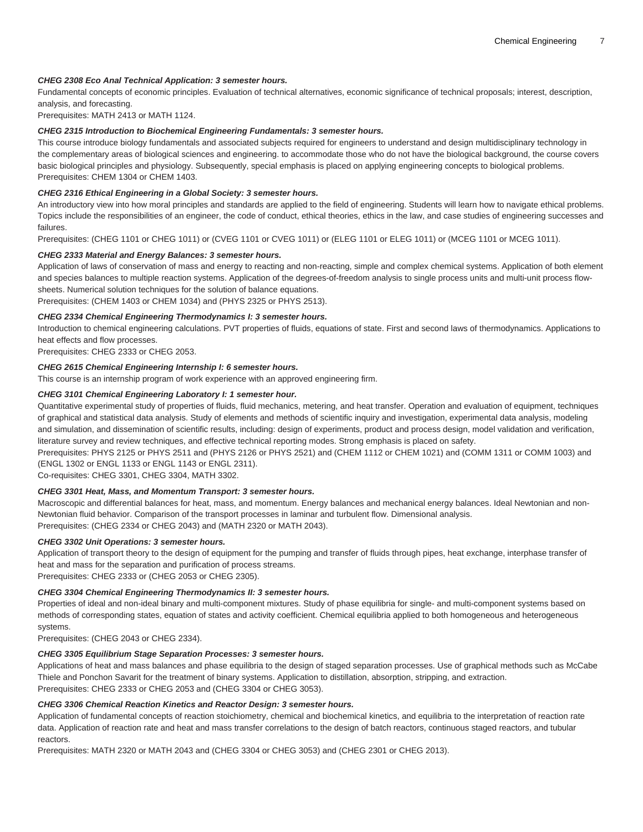#### **CHEG 2308 Eco Anal Technical Application: 3 semester hours.**

Fundamental concepts of economic principles. Evaluation of technical alternatives, economic significance of technical proposals; interest, description, analysis, and forecasting.

Prerequisites: [MATH 2413](/search/?P=MATH%202413) or MATH 1124.

#### **CHEG 2315 Introduction to Biochemical Engineering Fundamentals: 3 semester hours.**

This course introduce biology fundamentals and associated subjects required for engineers to understand and design multidisciplinary technology in the complementary areas of biological sciences and engineering. to accommodate those who do not have the biological background, the course covers basic biological principles and physiology. Subsequently, special emphasis is placed on applying engineering concepts to biological problems. Prerequisites: [CHEM 1304](/search/?P=CHEM%201304) or [CHEM 1403.](/search/?P=CHEM%201403)

#### **CHEG 2316 Ethical Engineering in a Global Society: 3 semester hours.**

An introductory view into how moral principles and standards are applied to the field of engineering. Students will learn how to navigate ethical problems. Topics include the responsibilities of an engineer, the code of conduct, ethical theories, ethics in the law, and case studies of engineering successes and failures.

Prerequisites: ([CHEG 1101](/search/?P=CHEG%201101) or CHEG 1011) or [\(CVEG 1101](/search/?P=CVEG%201101) or CVEG 1011) or [\(ELEG 1101](/search/?P=ELEG%201101) or ELEG 1011) or [\(MCEG 1101](/search/?P=MCEG%201101) or MCEG 1011).

#### **CHEG 2333 Material and Energy Balances: 3 semester hours.**

Application of laws of conservation of mass and energy to reacting and non-reacting, simple and complex chemical systems. Application of both element and species balances to multiple reaction systems. Application of the degrees-of-freedom analysis to single process units and multi-unit process flowsheets. Numerical solution techniques for the solution of balance equations.

Prerequisites: ([CHEM 1403](/search/?P=CHEM%201403) or CHEM 1034) and ([PHYS 2325](/search/?P=PHYS%202325) or PHYS 2513).

#### **CHEG 2334 Chemical Engineering Thermodynamics I: 3 semester hours.**

Introduction to chemical engineering calculations. PVT properties of fluids, equations of state. First and second laws of thermodynamics. Applications to heat effects and flow processes.

Prerequisites: [CHEG 2333](/search/?P=CHEG%202333) or CHEG 2053.

#### **CHEG 2615 Chemical Engineering Internship I: 6 semester hours.**

This course is an internship program of work experience with an approved engineering firm.

#### **CHEG 3101 Chemical Engineering Laboratory I: 1 semester hour.**

Quantitative experimental study of properties of fluids, fluid mechanics, metering, and heat transfer. Operation and evaluation of equipment, techniques of graphical and statistical data analysis. Study of elements and methods of scientific inquiry and investigation, experimental data analysis, modeling and simulation, and dissemination of scientific results, including: design of experiments, product and process design, model validation and verification, literature survey and review techniques, and effective technical reporting modes. Strong emphasis is placed on safety.

Prerequisites: [PHYS 2125](/search/?P=PHYS%202125) or PHYS 2511 and ([PHYS 2126](/search/?P=PHYS%202126) or PHYS 2521) and [\(CHEM 1112](/search/?P=CHEM%201112) or CHEM 1021) and ([COMM 1311](/search/?P=COMM%201311) or COMM 1003) and ([ENGL 1302](/search/?P=ENGL%201302) or ENGL 1133 or ENGL 1143 or [ENGL 2311\)](/search/?P=ENGL%202311).

Co-requisites: [CHEG 3301,](/search/?P=CHEG%203301) [CHEG 3304](/search/?P=CHEG%203304), [MATH 3302](/search/?P=MATH%203302).

#### **CHEG 3301 Heat, Mass, and Momentum Transport: 3 semester hours.**

Macroscopic and differential balances for heat, mass, and momentum. Energy balances and mechanical energy balances. Ideal Newtonian and non-Newtonian fluid behavior. Comparison of the transport processes in laminar and turbulent flow. Dimensional analysis. Prerequisites: ([CHEG 2334](/search/?P=CHEG%202334) or CHEG 2043) and ([MATH 2320](/search/?P=MATH%202320) or MATH 2043).

#### **CHEG 3302 Unit Operations: 3 semester hours.**

Application of transport theory to the design of equipment for the pumping and transfer of fluids through pipes, heat exchange, interphase transfer of heat and mass for the separation and purification of process streams.

Prerequisites: [CHEG 2333](/search/?P=CHEG%202333) or (CHEG 2053 or CHEG 2305).

#### **CHEG 3304 Chemical Engineering Thermodynamics II: 3 semester hours.**

Properties of ideal and non-ideal binary and multi-component mixtures. Study of phase equilibria for single- and multi-component systems based on methods of corresponding states, equation of states and activity coefficient. Chemical equilibria applied to both homogeneous and heterogeneous systems.

Prerequisites: (CHEG 2043 or [CHEG 2334\)](/search/?P=CHEG%202334).

#### **CHEG 3305 Equilibrium Stage Separation Processes: 3 semester hours.**

Applications of heat and mass balances and phase equilibria to the design of staged separation processes. Use of graphical methods such as McCabe Thiele and Ponchon Savarit for the treatment of binary systems. Application to distillation, absorption, stripping, and extraction. Prerequisites: [CHEG 2333](/search/?P=CHEG%202333) or CHEG 2053 and [\(CHEG 3304](/search/?P=CHEG%203304) or CHEG 3053).

#### **CHEG 3306 Chemical Reaction Kinetics and Reactor Design: 3 semester hours.**

Application of fundamental concepts of reaction stoichiometry, chemical and biochemical kinetics, and equilibria to the interpretation of reaction rate data. Application of reaction rate and heat and mass transfer correlations to the design of batch reactors, continuous staged reactors, and tubular reactors.

Prerequisites: [MATH 2320](/search/?P=MATH%202320) or MATH 2043 and ([CHEG 3304](/search/?P=CHEG%203304) or CHEG 3053) and [\(CHEG 2301](/search/?P=CHEG%202301) or CHEG 2013).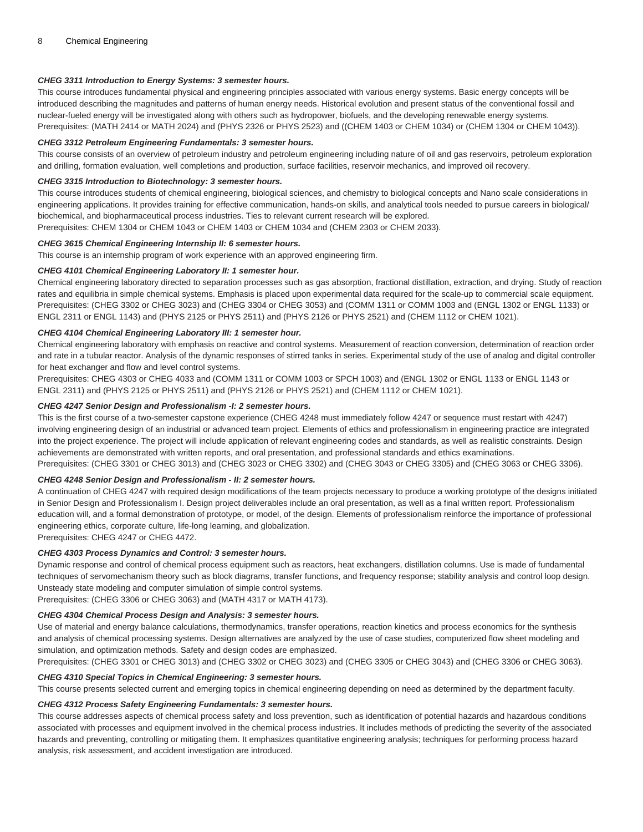#### **CHEG 3311 Introduction to Energy Systems: 3 semester hours.**

This course introduces fundamental physical and engineering principles associated with various energy systems. Basic energy concepts will be introduced describing the magnitudes and patterns of human energy needs. Historical evolution and present status of the conventional fossil and nuclear-fueled energy will be investigated along with others such as hydropower, biofuels, and the developing renewable energy systems. Prerequisites: ([MATH 2414](/search/?P=MATH%202414) or MATH 2024) and ([PHYS 2326](/search/?P=PHYS%202326) or PHYS 2523) and (([CHEM 1403](/search/?P=CHEM%201403) or CHEM 1034) or [\(CHEM 1304](/search/?P=CHEM%201304) or CHEM 1043)).

#### **CHEG 3312 Petroleum Engineering Fundamentals: 3 semester hours.**

This course consists of an overview of petroleum industry and petroleum engineering including nature of oil and gas reservoirs, petroleum exploration and drilling, formation evaluation, well completions and production, surface facilities, reservoir mechanics, and improved oil recovery.

#### **CHEG 3315 Introduction to Biotechnology: 3 semester hours.**

This course introduces students of chemical engineering, biological sciences, and chemistry to biological concepts and Nano scale considerations in engineering applications. It provides training for effective communication, hands-on skills, and analytical tools needed to pursue careers in biological/ biochemical, and biopharmaceutical process industries. Ties to relevant current research will be explored.

Prerequisites: [CHEM 1304](/search/?P=CHEM%201304) or CHEM 1043 or [CHEM 1403](/search/?P=CHEM%201403) or CHEM 1034 and ([CHEM 2303](/search/?P=CHEM%202303) or CHEM 2033).

#### **CHEG 3615 Chemical Engineering Internship II: 6 semester hours.**

This course is an internship program of work experience with an approved engineering firm.

#### **CHEG 4101 Chemical Engineering Laboratory II: 1 semester hour.**

Chemical engineering laboratory directed to separation processes such as gas absorption, fractional distillation, extraction, and drying. Study of reaction rates and equilibria in simple chemical systems. Emphasis is placed upon experimental data required for the scale-up to commercial scale equipment. Prerequisites: ([CHEG 3302](/search/?P=CHEG%203302) or CHEG 3023) and ([CHEG 3304](/search/?P=CHEG%203304) or CHEG 3053) and ([COMM 1311](/search/?P=COMM%201311) or COMM 1003 and [\(ENGL 1302](/search/?P=ENGL%201302) or ENGL 1133) or [ENGL 2311](/search/?P=ENGL%202311) or ENGL 1143) and [\(PHYS 2125](/search/?P=PHYS%202125) or PHYS 2511) and ([PHYS 2126](/search/?P=PHYS%202126) or PHYS 2521) and ([CHEM 1112](/search/?P=CHEM%201112) or CHEM 1021).

#### **CHEG 4104 Chemical Engineering Laboratory III: 1 semester hour.**

Chemical engineering laboratory with emphasis on reactive and control systems. Measurement of reaction conversion, determination of reaction order and rate in a tubular reactor. Analysis of the dynamic responses of stirred tanks in series. Experimental study of the use of analog and digital controller for heat exchanger and flow and level control systems.

Prerequisites: [CHEG 4303](/search/?P=CHEG%204303) or CHEG 4033 and [\(COMM 1311](/search/?P=COMM%201311) or COMM 1003 or SPCH 1003) and ([ENGL 1302](/search/?P=ENGL%201302) or ENGL 1133 or ENGL 1143 or [ENGL 2311\)](/search/?P=ENGL%202311) and ([PHYS 2125](/search/?P=PHYS%202125) or PHYS 2511) and [\(PHYS 2126](/search/?P=PHYS%202126) or PHYS 2521) and [\(CHEM 1112](/search/?P=CHEM%201112) or CHEM 1021).

#### **CHEG 4247 Senior Design and Professionalism -I: 2 semester hours.**

This is the first course of a two-semester capstone experience ([CHEG 4248](/search/?P=CHEG%204248) must immediately follow 4247 or sequence must restart with 4247) involving engineering design of an industrial or advanced team project. Elements of ethics and professionalism in engineering practice are integrated into the project experience. The project will include application of relevant engineering codes and standards, as well as realistic constraints. Design achievements are demonstrated with written reports, and oral presentation, and professional standards and ethics examinations. Prerequisites: ([CHEG 3301](/search/?P=CHEG%203301) or CHEG 3013) and (CHEG 3023 or [CHEG 3302\)](/search/?P=CHEG%203302) and (CHEG 3043 or [CHEG 3305](/search/?P=CHEG%203305)) and (CHEG 3063 or [CHEG 3306](/search/?P=CHEG%203306)).

#### **CHEG 4248 Senior Design and Professionalism - II: 2 semester hours.**

A continuation of [CHEG 4247](/search/?P=CHEG%204247) with required design modifications of the team projects necessary to produce a working prototype of the designs initiated in Senior Design and Professionalism I. Design project deliverables include an oral presentation, as well as a final written report. Professionalism education will, and a formal demonstration of prototype, or model, of the design. Elements of professionalism reinforce the importance of professional engineering ethics, corporate culture, life-long learning, and globalization.

Prerequisites: [CHEG 4247](/search/?P=CHEG%204247) or CHEG 4472.

#### **CHEG 4303 Process Dynamics and Control: 3 semester hours.**

Dynamic response and control of chemical process equipment such as reactors, heat exchangers, distillation columns. Use is made of fundamental techniques of servomechanism theory such as block diagrams, transfer functions, and frequency response; stability analysis and control loop design. Unsteady state modeling and computer simulation of simple control systems.

Prerequisites: ([CHEG 3306](/search/?P=CHEG%203306) or CHEG 3063) and ([MATH 4317](/search/?P=MATH%204317) or MATH 4173).

#### **CHEG 4304 Chemical Process Design and Analysis: 3 semester hours.**

Use of material and energy balance calculations, thermodynamics, transfer operations, reaction kinetics and process economics for the synthesis and analysis of chemical processing systems. Design alternatives are analyzed by the use of case studies, computerized flow sheet modeling and simulation, and optimization methods. Safety and design codes are emphasized.

Prerequisites: ([CHEG 3301](/search/?P=CHEG%203301) or CHEG 3013) and ([CHEG 3302](/search/?P=CHEG%203302) or CHEG 3023) and ([CHEG 3305](/search/?P=CHEG%203305) or CHEG 3043) and ([CHEG 3306](/search/?P=CHEG%203306) or CHEG 3063).

#### **CHEG 4310 Special Topics in Chemical Engineering: 3 semester hours.**

This course presents selected current and emerging topics in chemical engineering depending on need as determined by the department faculty.

#### **CHEG 4312 Process Safety Engineering Fundamentals: 3 semester hours.**

This course addresses aspects of chemical process safety and loss prevention, such as identification of potential hazards and hazardous conditions associated with processes and equipment involved in the chemical process industries. It includes methods of predicting the severity of the associated hazards and preventing, controlling or mitigating them. It emphasizes quantitative engineering analysis; techniques for performing process hazard analysis, risk assessment, and accident investigation are introduced.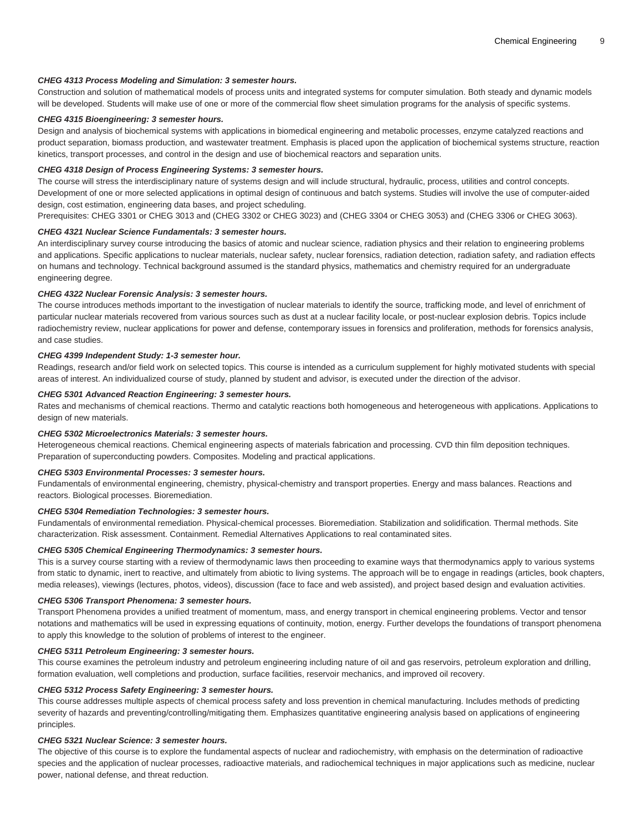#### **CHEG 4313 Process Modeling and Simulation: 3 semester hours.**

Construction and solution of mathematical models of process units and integrated systems for computer simulation. Both steady and dynamic models will be developed. Students will make use of one or more of the commercial flow sheet simulation programs for the analysis of specific systems.

#### **CHEG 4315 Bioengineering: 3 semester hours.**

Design and analysis of biochemical systems with applications in biomedical engineering and metabolic processes, enzyme catalyzed reactions and product separation, biomass production, and wastewater treatment. Emphasis is placed upon the application of biochemical systems structure, reaction kinetics, transport processes, and control in the design and use of biochemical reactors and separation units.

#### **CHEG 4318 Design of Process Engineering Systems: 3 semester hours.**

The course will stress the interdisciplinary nature of systems design and will include structural, hydraulic, process, utilities and control concepts. Development of one or more selected applications in optimal design of continuous and batch systems. Studies will involve the use of computer-aided design, cost estimation, engineering data bases, and project scheduling.

Prerequisites: [CHEG 3301](/search/?P=CHEG%203301) or CHEG 3013 and [\(CHEG 3302](/search/?P=CHEG%203302) or CHEG 3023) and [\(CHEG 3304](/search/?P=CHEG%203304) or CHEG 3053) and [\(CHEG 3306](/search/?P=CHEG%203306) or CHEG 3063).

#### **CHEG 4321 Nuclear Science Fundamentals: 3 semester hours.**

An interdisciplinary survey course introducing the basics of atomic and nuclear science, radiation physics and their relation to engineering problems and applications. Specific applications to nuclear materials, nuclear safety, nuclear forensics, radiation detection, radiation safety, and radiation effects on humans and technology. Technical background assumed is the standard physics, mathematics and chemistry required for an undergraduate engineering degree.

#### **CHEG 4322 Nuclear Forensic Analysis: 3 semester hours.**

The course introduces methods important to the investigation of nuclear materials to identify the source, trafficking mode, and level of enrichment of particular nuclear materials recovered from various sources such as dust at a nuclear facility locale, or post-nuclear explosion debris. Topics include radiochemistry review, nuclear applications for power and defense, contemporary issues in forensics and proliferation, methods for forensics analysis, and case studies.

#### **CHEG 4399 Independent Study: 1-3 semester hour.**

Readings, research and/or field work on selected topics. This course is intended as a curriculum supplement for highly motivated students with special areas of interest. An individualized course of study, planned by student and advisor, is executed under the direction of the advisor.

#### **CHEG 5301 Advanced Reaction Engineering: 3 semester hours.**

Rates and mechanisms of chemical reactions. Thermo and catalytic reactions both homogeneous and heterogeneous with applications. Applications to design of new materials.

#### **CHEG 5302 Microelectronics Materials: 3 semester hours.**

Heterogeneous chemical reactions. Chemical engineering aspects of materials fabrication and processing. CVD thin film deposition techniques. Preparation of superconducting powders. Composites. Modeling and practical applications.

#### **CHEG 5303 Environmental Processes: 3 semester hours.**

Fundamentals of environmental engineering, chemistry, physical-chemistry and transport properties. Energy and mass balances. Reactions and reactors. Biological processes. Bioremediation.

#### **CHEG 5304 Remediation Technologies: 3 semester hours.**

Fundamentals of environmental remediation. Physical-chemical processes. Bioremediation. Stabilization and solidification. Thermal methods. Site characterization. Risk assessment. Containment. Remedial Alternatives Applications to real contaminated sites.

#### **CHEG 5305 Chemical Engineering Thermodynamics: 3 semester hours.**

This is a survey course starting with a review of thermodynamic laws then proceeding to examine ways that thermodynamics apply to various systems from static to dynamic, inert to reactive, and ultimately from abiotic to living systems. The approach will be to engage in readings (articles, book chapters, media releases), viewings (lectures, photos, videos), discussion (face to face and web assisted), and project based design and evaluation activities.

#### **CHEG 5306 Transport Phenomena: 3 semester hours.**

Transport Phenomena provides a unified treatment of momentum, mass, and energy transport in chemical engineering problems. Vector and tensor notations and mathematics will be used in expressing equations of continuity, motion, energy. Further develops the foundations of transport phenomena to apply this knowledge to the solution of problems of interest to the engineer.

#### **CHEG 5311 Petroleum Engineering: 3 semester hours.**

This course examines the petroleum industry and petroleum engineering including nature of oil and gas reservoirs, petroleum exploration and drilling, formation evaluation, well completions and production, surface facilities, reservoir mechanics, and improved oil recovery.

#### **CHEG 5312 Process Safety Engineering: 3 semester hours.**

This course addresses multiple aspects of chemical process safety and loss prevention in chemical manufacturing. Includes methods of predicting severity of hazards and preventing/controlling/mitigating them. Emphasizes quantitative engineering analysis based on applications of engineering principles.

#### **CHEG 5321 Nuclear Science: 3 semester hours.**

The objective of this course is to explore the fundamental aspects of nuclear and radiochemistry, with emphasis on the determination of radioactive species and the application of nuclear processes, radioactive materials, and radiochemical techniques in major applications such as medicine, nuclear power, national defense, and threat reduction.